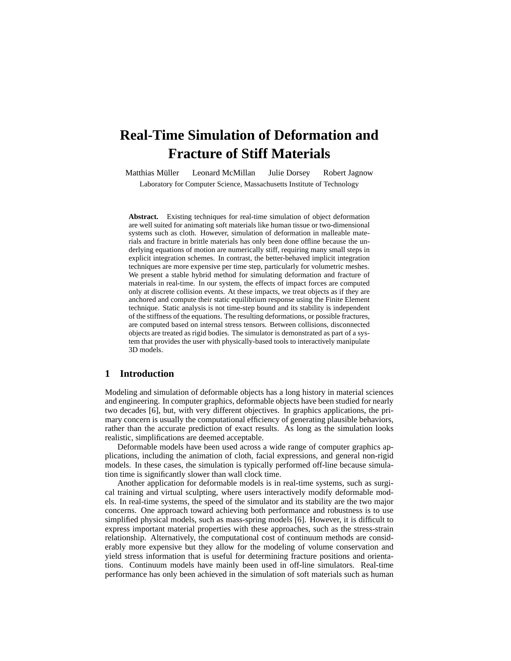# **Real-Time Simulation of Deformation and Fracture of Stiff Materials**

Matthias Müller Leonard McMillan Julie Dorsey Robert Jagnow Laboratory for Computer Science, Massachusetts Institute of Technology

**Abstract.** Existing techniques for real-time simulation of object deformation are well suited for animating soft materials like human tissue or two-dimensional systems such as cloth. However, simulation of deformation in malleable materials and fracture in brittle materials has only been done offline because the underlying equations of motion are numerically stiff, requiring many small steps in explicit integration schemes. In contrast, the better-behaved implicit integration techniques are more expensive per time step, particularly for volumetric meshes. We present a stable hybrid method for simulating deformation and fracture of materials in real-time. In our system, the effects of impact forces are computed only at discrete collision events. At these impacts, we treat objects as if they are anchored and compute their static equilibrium response using the Finite Element technique. Static analysis is not time-step bound and its stability is independent of the stiffness of the equations. The resulting deformations, or possible fractures, are computed based on internal stress tensors. Between collisions, disconnected objects are treated as rigid bodies. The simulator is demonstrated as part of a system that provides the user with physically-based tools to interactively manipulate 3D models.

# **1 Introduction**

Modeling and simulation of deformable objects has a long history in material sciences and engineering. In computer graphics, deformable objects have been studied for nearly two decades [6], but, with very different objectives. In graphics applications, the primary concern is usually the computational efficiency of generating plausible behaviors, rather than the accurate prediction of exact results. As long as the simulation looks realistic, simplifications are deemed acceptable.

Deformable models have been used across a wide range of computer graphics applications, including the animation of cloth, facial expressions, and general non-rigid models. In these cases, the simulation is typically performed off-line because simulation time is significantly slower than wall clock time.

Another application for deformable models is in real-time systems, such as surgical training and virtual sculpting, where users interactively modify deformable models. In real-time systems, the speed of the simulator and its stability are the two major concerns. One approach toward achieving both performance and robustness is to use simplified physical models, such as mass-spring models [6]. However, it is difficult to express important material properties with these approaches, such as the stress-strain relationship. Alternatively, the computational cost of continuum methods are considerably more expensive but they allow for the modeling of volume conservation and yield stress information that is useful for determining fracture positions and orientations. Continuum models have mainly been used in off-line simulators. Real-time performance has only been achieved in the simulation of soft materials such as human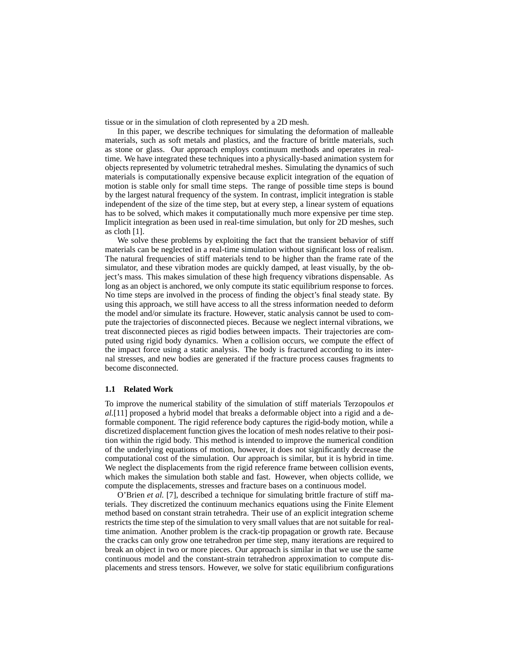tissue or in the simulation of cloth represented by a 2D mesh.

In this paper, we describe techniques for simulating the deformation of malleable materials, such as soft metals and plastics, and the fracture of brittle materials, such as stone or glass. Our approach employs continuum methods and operates in realtime. We have integrated these techniques into a physically-based animation system for objects represented by volumetric tetrahedral meshes. Simulating the dynamics of such materials is computationally expensive because explicit integration of the equation of motion is stable only for small time steps. The range of possible time steps is bound by the largest natural frequency of the system. In contrast, implicit integration is stable independent of the size of the time step, but at every step, a linear system of equations has to be solved, which makes it computationally much more expensive per time step. Implicit integration as been used in real-time simulation, but only for 2D meshes, such as cloth [1].

We solve these problems by exploiting the fact that the transient behavior of stiff materials can be neglected in a real-time simulation without significant loss of realism. The natural frequencies of stiff materials tend to be higher than the frame rate of the simulator, and these vibration modes are quickly damped, at least visually, by the object's mass. This makes simulation of these high frequency vibrations dispensable. As long as an object is anchored, we only compute its static equilibrium response to forces. No time steps are involved in the process of finding the object's final steady state. By using this approach, we still have access to all the stress information needed to deform the model and/or simulate its fracture. However, static analysis cannot be used to compute the trajectories of disconnected pieces. Because we neglect internal vibrations, we treat disconnected pieces as rigid bodies between impacts. Their trajectories are computed using rigid body dynamics. When a collision occurs, we compute the effect of the impact force using a static analysis. The body is fractured according to its internal stresses, and new bodies are generated if the fracture process causes fragments to become disconnected.

#### **1.1 Related Work**

To improve the numerical stability of the simulation of stiff materials Terzopoulos *et al.*[11] proposed a hybrid model that breaks a deformable object into a rigid and a deformable component. The rigid reference body captures the rigid-body motion, while a discretized displacement function gives the location of mesh nodes relative to their position within the rigid body. This method is intended to improve the numerical condition of the underlying equations of motion, however, it does not significantly decrease the computational cost of the simulation. Our approach is similar, but it is hybrid in time. We neglect the displacements from the rigid reference frame between collision events, which makes the simulation both stable and fast. However, when objects collide, we compute the displacements, stresses and fracture bases on a continuous model.

O'Brien *et al.* [7], described a technique for simulating brittle fracture of stiff materials. They discretized the continuum mechanics equations using the Finite Element method based on constant strain tetrahedra. Their use of an explicit integration scheme restricts the time step of the simulation to very small values that are not suitable for realtime animation. Another problem is the crack-tip propagation or growth rate. Because the cracks can only grow one tetrahedron per time step, many iterations are required to break an object in two or more pieces. Our approach is similar in that we use the same continuous model and the constant-strain tetrahedron approximation to compute displacements and stress tensors. However, we solve for static equilibrium configurations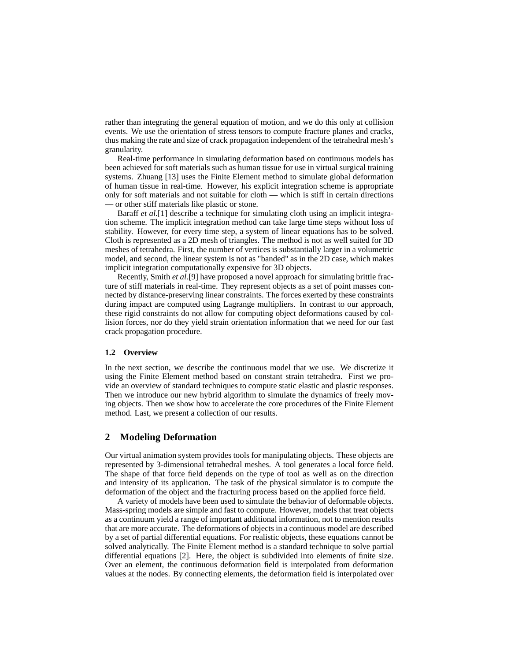rather than integrating the general equation of motion, and we do this only at collision events. We use the orientation of stress tensors to compute fracture planes and cracks, thus making the rate and size of crack propagation independent of the tetrahedral mesh's granularity.

Real-time performance in simulating deformation based on continuous models has been achieved for soft materials such as human tissue for use in virtual surgical training systems. Zhuang [13] uses the Finite Element method to simulate global deformation of human tissue in real-time. However, his explicit integration scheme is appropriate only for soft materials and not suitable for cloth — which is stiff in certain directions — or other stiff materials like plastic or stone.

Baraff *et al.*[1] describe a technique for simulating cloth using an implicit integration scheme. The implicit integration method can take large time steps without loss of stability. However, for every time step, a system of linear equations has to be solved. Cloth is represented as a 2D mesh of triangles. The method is not as well suited for 3D meshes of tetrahedra. First, the number of vertices is substantially larger in a volumetric model, and second, the linear system is not as "banded" as in the 2D case, which makes implicit integration computationally expensive for 3D objects.

Recently, Smith *et al.*[9] have proposed a novel approach for simulating brittle fracture of stiff materials in real-time. They represent objects as a set of point masses connected by distance-preserving linear constraints. The forces exerted by these constraints during impact are computed using Lagrange multipliers. In contrast to our approach, these rigid constraints do not allow for computing object deformations caused by collision forces, nor do they yield strain orientation information that we need for our fast crack propagation procedure.

#### **1.2 Overview**

In the next section, we describe the continuous model that we use. We discretize it using the Finite Element method based on constant strain tetrahedra. First we provide an overview of standard techniques to compute static elastic and plastic responses. Then we introduce our new hybrid algorithm to simulate the dynamics of freely moving objects. Then we show how to accelerate the core procedures of the Finite Element method. Last, we present a collection of our results.

## **2 Modeling Deformation**

Our virtual animation system provides tools for manipulating objects. These objects are represented by 3-dimensional tetrahedral meshes. A tool generates a local force field. The shape of that force field depends on the type of tool as well as on the direction and intensity of its application. The task of the physical simulator is to compute the deformation of the object and the fracturing process based on the applied force field.

A variety of models have been used to simulate the behavior of deformable objects. Mass-spring models are simple and fast to compute. However, models that treat objects as a continuum yield a range of important additional information, not to mention results that are more accurate. The deformations of objects in a continuous model are described by a set of partial differential equations. For realistic objects, these equations cannot be solved analytically. The Finite Element method is a standard technique to solve partial differential equations [2]. Here, the object is subdivided into elements of finite size. Over an element, the continuous deformation field is interpolated from deformation values at the nodes. By connecting elements, the deformation field is interpolated over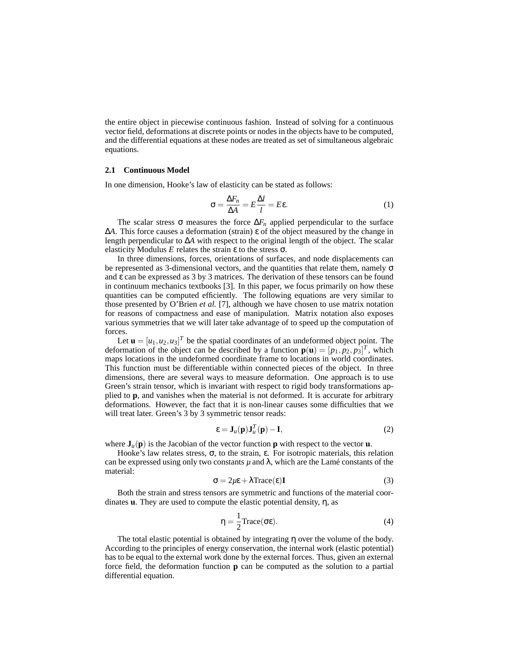the entire object in piecewise continuous fashion. Instead of solving for a continuous vector field, deformations at discrete points or nodes in the objects have to be computed, and the differential equations at these nodes are treated as set of simultaneous algebraic equations.

## **2.1 Continuous Model**

In one dimension, Hooke's law of elasticity can be stated as follows:

$$
\sigma = \frac{\Delta F_n}{\Delta A} = E \frac{\Delta l}{l} = E \varepsilon.
$$
 (1)

The scalar stress  $\sigma$  measures the force  $\Delta F_n$  applied perpendicular to the surface ∆*A*. This force causes a deformation (strain) ε of the object measured by the change in length perpendicular to ∆*A* with respect to the original length of the object. The scalar elasticity Modulus *E* relates the strain ε to the stress  $\sigma$ .

In three dimensions, forces, orientations of surfaces, and node displacements can be represented as 3-dimensional vectors, and the quantities that relate them, namely  $\sigma$ and ε can be expressed as 3 by 3 matrices. The derivation of these tensors can be found in continuum mechanics textbooks [3]. In this paper, we focus primarily on how these quantities can be computed efficiently. The following equations are very similar to those presented by O'Brien *et al.* [7], although we have chosen to use matrix notation for reasons of compactness and ease of manipulation. Matrix notation also exposes various symmetries that we will later take advantage of to speed up the computation of forces.

Let  $\mathbf{u} = [u_1, u_2, u_3]^T$  be the spatial coordinates of an undeformed object point. The deformation of the object can be described by a function  $\mathbf{p}(\mathbf{u}) = [p_1, p_2, p_3]^T$ , which maps locations in the undeformed coordinate frame to locations in world coordinates. This function must be differentiable within connected pieces of the object. In three dimensions, there are several ways to measure deformation. One approach is to use Green's strain tensor, which is invariant with respect to rigid body transformations applied to **p**, and vanishes when the material is not deformed. It is accurate for arbitrary deformations. However, the fact that it is non-linear causes some difficulties that we will treat later. Green's 3 by 3 symmetric tensor reads:

$$
\varepsilon = \mathbf{J}_u(\mathbf{p})\mathbf{J}_u^T(\mathbf{p}) - \mathbf{I},
$$
\n(2)

where  $J_u(p)$  is the Jacobian of the vector function **p** with respect to the vector **u**.

Hooke's law relates stress,  $\sigma$ , to the strain, ε. For isotropic materials, this relation can be expressed using only two constants  $\mu$  and  $\lambda$ , which are the Lamé constants of the material:

$$
\sigma = 2\mu\epsilon + \lambda \text{Trace}(\epsilon)\mathbf{I}
$$
 (3)

Both the strain and stress tensors are symmetric and functions of the material coordinates **u**. They are used to compute the elastic potential density, η, as

$$
\eta = \frac{1}{2} \text{Trace}(\sigma \varepsilon). \tag{4}
$$

The total elastic potential is obtained by integrating η over the volume of the body. According to the principles of energy conservation, the internal work (elastic potential) has to be equal to the external work done by the external forces. Thus, given an external force field, the deformation function **p** can be computed as the solution to a partial differential equation.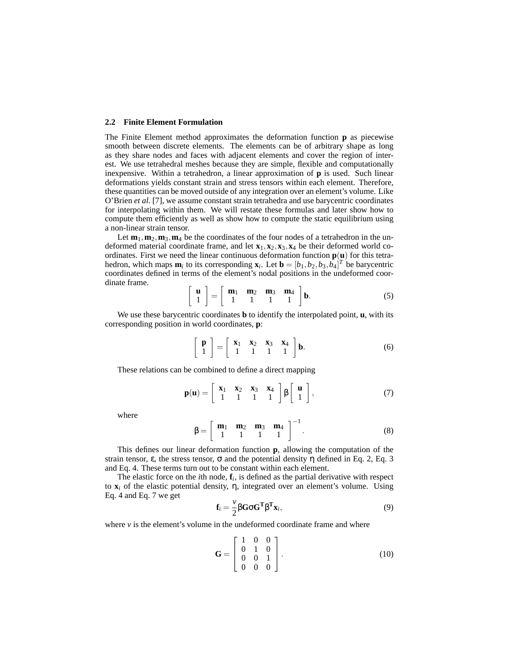#### **2.2 Finite Element Formulation**

The Finite Element method approximates the deformation function **p** as piecewise smooth between discrete elements. The elements can be of arbitrary shape as long as they share nodes and faces with adjacent elements and cover the region of interest. We use tetrahedral meshes because they are simple, flexible and computationally inexpensive. Within a tetrahedron, a linear approximation of **p** is used. Such linear deformations yields constant strain and stress tensors within each element. Therefore, these quantities can be moved outside of any integration over an element's volume. Like O'Brien *et al.* [7], we assume constant strain tetrahedra and use barycentric coordinates for interpolating within them. We will restate these formulas and later show how to compute them efficiently as well as show how to compute the static equilibrium using a non-linear strain tensor.

Let  $\mathbf{m}_1, \mathbf{m}_2, \mathbf{m}_3, \mathbf{m}_4$  be the coordinates of the four nodes of a tetrahedron in the undeformed material coordinate frame, and let  $\mathbf{x}_1, \mathbf{x}_2, \mathbf{x}_3, \mathbf{x}_4$  be their deformed world coordinates. First we need the linear continuous deformation function **p**(**u**) for this tetrahedron, which maps  $\mathbf{m}_i$  to its corresponding  $\mathbf{x}_i$ . Let  $\mathbf{b} = [b_1, b_2, b_3, b_4]^T$  be barycentric coordinates defined in terms of the element's nodal positions in the undeformed coordinate frame. ·  $\overline{a}$ ·

$$
\begin{bmatrix} \mathbf{u} \\ 1 \end{bmatrix} = \begin{bmatrix} \mathbf{m}_1 & \mathbf{m}_2 & \mathbf{m}_3 & \mathbf{m}_4 \\ 1 & 1 & 1 & 1 \end{bmatrix} \mathbf{b}.
$$
 (5)

We use these barycentric coordinates **b** to identify the interpolated point, **u**, with its corresponding position in world coordinates, **p**:

$$
\left[\begin{array}{c}\mathbf{p}\\1\end{array}\right]=\left[\begin{array}{cccc}\mathbf{x}_1 & \mathbf{x}_2 & \mathbf{x}_3 & \mathbf{x}_4\\1 & 1 & 1 & 1\end{array}\right]\mathbf{b}.\tag{6}
$$

These relations can be combined to define a direct mapping

$$
\mathbf{p}(\mathbf{u}) = \begin{bmatrix} \mathbf{x}_1 & \mathbf{x}_2 & \mathbf{x}_3 & \mathbf{x}_4 \\ 1 & 1 & 1 & 1 \end{bmatrix} \beta \begin{bmatrix} \mathbf{u} \\ 1 \end{bmatrix},
$$
(7)

where

$$
\beta = \left[ \begin{array}{cccc} \mathbf{m}_1 & \mathbf{m}_2 & \mathbf{m}_3 & \mathbf{m}_4 \\ 1 & 1 & 1 & 1 \end{array} \right]^{-1} . \tag{8}
$$

This defines our linear deformation function **p**, allowing the computation of the strain tensor, ε, the stress tensor,  $\sigma$  and the potential density  $η$  defined in Eq. 2, Eq. 3 and Eq. 4. These terms turn out to be constant within each element.

The elastic force on the *i*th node, **f***<sup>i</sup>* , is defined as the partial derivative with respect to  **of the elastic potential density, η, integrated over an element's volume. Using** Eq. 4 and Eq. 7 we get

$$
\mathbf{f}_{i} = \frac{\nu}{2} \beta \mathbf{G} \sigma \mathbf{G}^{\mathrm{T}} \beta^{\mathrm{T}} \mathbf{x}_{i},\tag{9}
$$

where  $\nu$  is the element's volume in the undeformed coordinate frame and where

$$
\mathbf{G} = \left[ \begin{array}{ccc} 1 & 0 & 0 \\ 0 & 1 & 0 \\ 0 & 0 & 1 \\ 0 & 0 & 0 \end{array} \right].\tag{10}
$$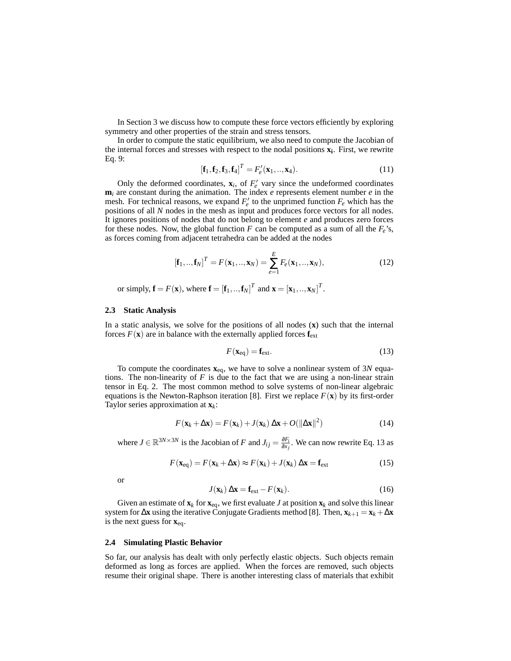In Section 3 we discuss how to compute these force vectors efficiently by exploring symmetry and other properties of the strain and stress tensors.

In order to compute the static equilibrium, we also need to compute the Jacobian of the internal forces and stresses with respect to the nodal positions **x<sup>i</sup>** . First, we rewrite Eq. 9:

$$
\left[\mathbf{f}_1, \mathbf{f}_2, \mathbf{f}_3, \mathbf{f}_4\right]^T = F'_e(\mathbf{x}_1, \dots, \mathbf{x}_4). \tag{11}
$$

Only the deformed coordinates,  $\mathbf{x}_i$ , of  $F'_e$  vary since the undeformed coordinates **m***<sup>i</sup>* are constant during the animation. The index *e* represents element number *e* in the mesh. For technical reasons, we expand  $F'_e$  to the unprimed function  $F_e$  which has the positions of all *N* nodes in the mesh as input and produces force vectors for all nodes. It ignores positions of nodes that do not belong to element *e* and produces zero forces for these nodes. Now, the global function  $F$  can be computed as a sum of all the  $F_e$ 's, as forces coming from adjacent tetrahedra can be added at the nodes

$$
[\mathbf{f}_1,..,\mathbf{f}_N]^T = F(\mathbf{x}_1,..,\mathbf{x}_N) = \sum_{e=1}^E F_e(\mathbf{x}_1,..,\mathbf{x}_N),
$$
 (12)

or simply,  $\mathbf{f} = F(\mathbf{x})$ , where  $\mathbf{f} = [\mathbf{f}_1, ..., \mathbf{f}_N]^T$  and  $\mathbf{x} = [\mathbf{x}_1, ..., \mathbf{x}_N]^T$ .

#### **2.3 Static Analysis**

In a static analysis, we solve for the positions of all nodes (**x**) such that the internal forces  $F(\mathbf{x})$  are in balance with the externally applied forces  $\mathbf{f}_{ext}$ 

$$
F(\mathbf{x}_{\text{eq}}) = \mathbf{f}_{\text{ext}}.\tag{13}
$$

To compute the coordinates **x**eq, we have to solve a nonlinear system of 3*N* equations. The non-linearity of  $F$  is due to the fact that we are using a non-linear strain tensor in Eq. 2. The most common method to solve systems of non-linear algebraic equations is the Newton-Raphson iteration [8]. First we replace  $F(\mathbf{x})$  by its first-order Taylor series approximation at **x***<sup>k</sup>* :

$$
F(\mathbf{x}_k + \Delta \mathbf{x}) = F(\mathbf{x}_k) + J(\mathbf{x}_k) \Delta \mathbf{x} + O(||\Delta \mathbf{x}||^2)
$$
 (14)

where  $J \in \mathbb{R}^{3N \times 3N}$  is the Jacobian of *F* and  $J_{ij} = \frac{\partial F_i}{\partial x_i}$  $\frac{\partial F_i}{\partial x_j}$ . We can now rewrite Eq. 13 as

$$
F(\mathbf{x}_{eq}) = F(\mathbf{x}_k + \Delta \mathbf{x}) \approx F(\mathbf{x}_k) + J(\mathbf{x}_k) \Delta \mathbf{x} = \mathbf{f}_{ext}
$$
(15)

or

$$
J(\mathbf{x}_k) \Delta \mathbf{x} = \mathbf{f}_{\text{ext}} - F(\mathbf{x}_k). \tag{16}
$$

Given an estimate of  $\mathbf{x}_k$  for  $\mathbf{x}_{eq}$ , we first evaluate *J* at position  $\mathbf{x}_k$  and solve this linear system for ∆**x** using the iterative Conjugate Gradients method [8]. Then, **x***k*+<sup>1</sup> = **x***<sup>k</sup>* +∆**x** is the next guess for **x**eq.

#### **2.4 Simulating Plastic Behavior**

So far, our analysis has dealt with only perfectly elastic objects. Such objects remain deformed as long as forces are applied. When the forces are removed, such objects resume their original shape. There is another interesting class of materials that exhibit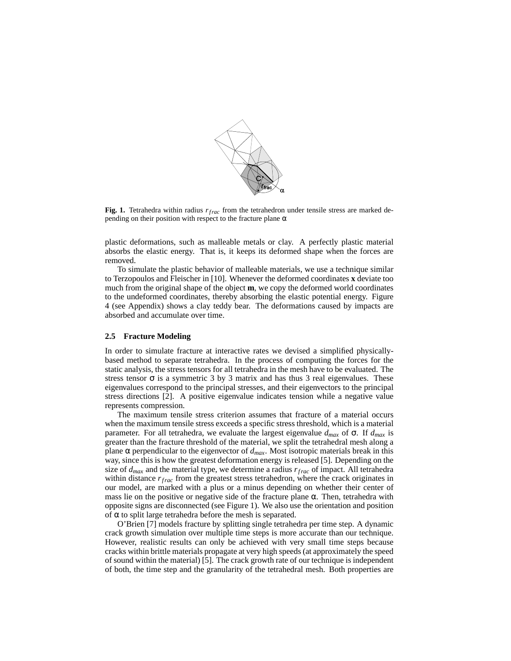

Fig. 1. Tetrahedra within radius  $r_{frac}$  from the tetrahedron under tensile stress are marked depending on their position with respect to the fracture plane  $\alpha$ 

plastic deformations, such as malleable metals or clay. A perfectly plastic material absorbs the elastic energy. That is, it keeps its deformed shape when the forces are removed.

To simulate the plastic behavior of malleable materials, we use a technique similar to Terzopoulos and Fleischer in [10]. Whenever the deformed coordinates **x** deviate too much from the original shape of the object **m**, we copy the deformed world coordinates to the undeformed coordinates, thereby absorbing the elastic potential energy. Figure 4 (see Appendix) shows a clay teddy bear. The deformations caused by impacts are absorbed and accumulate over time.

#### **2.5 Fracture Modeling**

In order to simulate fracture at interactive rates we devised a simplified physicallybased method to separate tetrahedra. In the process of computing the forces for the static analysis, the stress tensors for all tetrahedra in the mesh have to be evaluated. The stress tensor  $\sigma$  is a symmetric 3 by 3 matrix and has thus 3 real eigenvalues. These eigenvalues correspond to the principal stresses, and their eigenvectors to the principal stress directions [2]. A positive eigenvalue indicates tension while a negative value represents compression.

The maximum tensile stress criterion assumes that fracture of a material occurs when the maximum tensile stress exceeds a specific stress threshold, which is a material parameter. For all tetrahedra, we evaluate the largest eigenvalue  $d_{max}$  of  $\sigma$ . If  $d_{max}$  is greater than the fracture threshold of the material, we split the tetrahedral mesh along a plane α perpendicular to the eigenvector of  $d_{max}$ . Most isotropic materials break in this way, since this is how the greatest deformation energy is released [5]. Depending on the size of  $d_{max}$  and the material type, we determine a radius  $r_{frac}$  of impact. All tetrahedra within distance  $r_{frac}$  from the greatest stress tetrahedron, where the crack originates in our model, are marked with a plus or a minus depending on whether their center of mass lie on the positive or negative side of the fracture plane  $\alpha$ . Then, tetrahedra with opposite signs are disconnected (see Figure 1). We also use the orientation and position of α to split large tetrahedra before the mesh is separated.

O'Brien [7] models fracture by splitting single tetrahedra per time step. A dynamic crack growth simulation over multiple time steps is more accurate than our technique. However, realistic results can only be achieved with very small time steps because cracks within brittle materials propagate at very high speeds (at approximately the speed of sound within the material) [5]. The crack growth rate of our technique is independent of both, the time step and the granularity of the tetrahedral mesh. Both properties are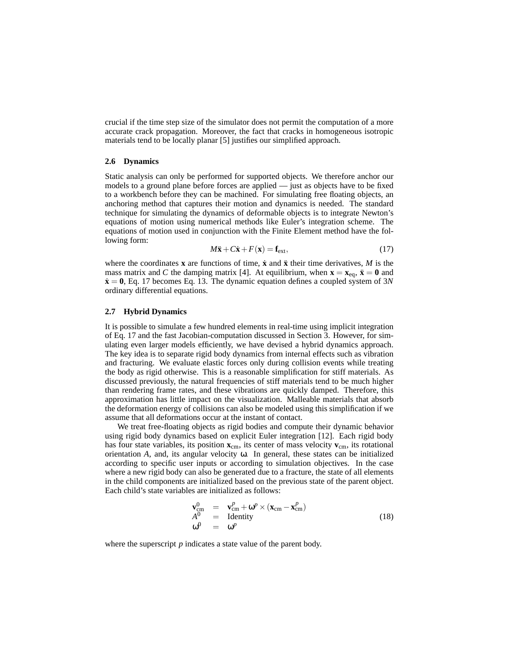crucial if the time step size of the simulator does not permit the computation of a more accurate crack propagation. Moreover, the fact that cracks in homogeneous isotropic materials tend to be locally planar [5] justifies our simplified approach.

### **2.6 Dynamics**

Static analysis can only be performed for supported objects. We therefore anchor our models to a ground plane before forces are applied — just as objects have to be fixed to a workbench before they can be machined. For simulating free floating objects, an anchoring method that captures their motion and dynamics is needed. The standard technique for simulating the dynamics of deformable objects is to integrate Newton's equations of motion using numerical methods like Euler's integration scheme. The equations of motion used in conjunction with the Finite Element method have the following form:

$$
M\ddot{\mathbf{x}} + C\dot{\mathbf{x}} + F(\mathbf{x}) = \mathbf{f}_{\text{ext}},\tag{17}
$$

where the coordinates **x** are functions of time, **x** and **x** their time derivatives, *M* is the mass matrix and *C* the damping matrix [4]. At equilibrium, when  $\mathbf{x} = \mathbf{x}_{eq}$ ,  $\ddot{\mathbf{x}} = \mathbf{0}$  and  $\dot{\mathbf{x}} = \mathbf{0}$ , Eq. 17 becomes Eq. 13. The dynamic equation defines a coupled system of 3*N* ordinary differential equations.

#### **2.7 Hybrid Dynamics**

It is possible to simulate a few hundred elements in real-time using implicit integration of Eq. 17 and the fast Jacobian-computation discussed in Section 3. However, for simulating even larger models efficiently, we have devised a hybrid dynamics approach. The key idea is to separate rigid body dynamics from internal effects such as vibration and fracturing. We evaluate elastic forces only during collision events while treating the body as rigid otherwise. This is a reasonable simplification for stiff materials. As discussed previously, the natural frequencies of stiff materials tend to be much higher than rendering frame rates, and these vibrations are quickly damped. Therefore, this approximation has little impact on the visualization. Malleable materials that absorb the deformation energy of collisions can also be modeled using this simplification if we assume that all deformations occur at the instant of contact.

We treat free-floating objects as rigid bodies and compute their dynamic behavior using rigid body dynamics based on explicit Euler integration [12]. Each rigid body has four state variables, its position  $\mathbf{x}_{cm}$ , its center of mass velocity  $\mathbf{v}_{cm}$ , its rotational orientation *A*, and, its angular velocity ω. In general, these states can be initialized according to specific user inputs or according to simulation objectives. In the case where a new rigid body can also be generated due to a fracture, the state of all elements in the child components are initialized based on the previous state of the parent object. Each child's state variables are initialized as follows:

$$
\mathbf{v}_{cm}^{0} = \mathbf{v}_{cm}^{p} + \omega^{p} \times (\mathbf{x}_{cm} - \mathbf{x}_{cm}^{p})
$$
  
\n
$$
\omega^{0} = \text{Identity}
$$
\n
$$
\omega^{0} = \omega^{p}
$$
\n(18)

where the superscript *p* indicates a state value of the parent body.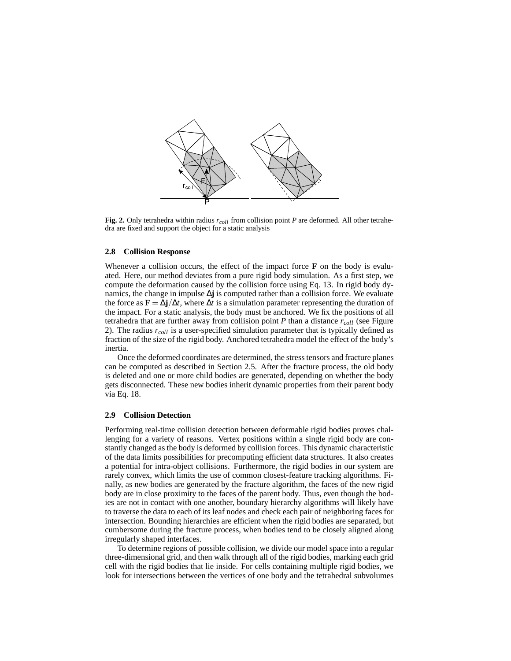

**Fig. 2.** Only tetrahedra within radius *rcoll* from collision point *P* are deformed. All other tetrahedra are fixed and support the object for a static analysis

#### **2.8 Collision Response**

Whenever a collision occurs, the effect of the impact force **F** on the body is evaluated. Here, our method deviates from a pure rigid body simulation. As a first step, we compute the deformation caused by the collision force using Eq. 13. In rigid body dynamics, the change in impulse ∆**j** is computed rather than a collision force. We evaluate the force as  $\mathbf{F} = \Delta \mathbf{j}/\Delta t$ , where  $\Delta t$  is a simulation parameter representing the duration of the impact. For a static analysis, the body must be anchored. We fix the positions of all tetrahedra that are further away from collision point *P* than a distance *rcoll* (see Figure 2). The radius *rcoll* is a user-specified simulation parameter that is typically defined as fraction of the size of the rigid body. Anchored tetrahedra model the effect of the body's inertia.

Once the deformed coordinates are determined, the stress tensors and fracture planes can be computed as described in Section 2.5. After the fracture process, the old body is deleted and one or more child bodies are generated, depending on whether the body gets disconnected. These new bodies inherit dynamic properties from their parent body via Eq. 18.

#### **2.9 Collision Detection**

Performing real-time collision detection between deformable rigid bodies proves challenging for a variety of reasons. Vertex positions within a single rigid body are constantly changed as the body is deformed by collision forces. This dynamic characteristic of the data limits possibilities for precomputing efficient data structures. It also creates a potential for intra-object collisions. Furthermore, the rigid bodies in our system are rarely convex, which limits the use of common closest-feature tracking algorithms. Finally, as new bodies are generated by the fracture algorithm, the faces of the new rigid body are in close proximity to the faces of the parent body. Thus, even though the bodies are not in contact with one another, boundary hierarchy algorithms will likely have to traverse the data to each of its leaf nodes and check each pair of neighboring faces for intersection. Bounding hierarchies are efficient when the rigid bodies are separated, but cumbersome during the fracture process, when bodies tend to be closely aligned along irregularly shaped interfaces.

To determine regions of possible collision, we divide our model space into a regular three-dimensional grid, and then walk through all of the rigid bodies, marking each grid cell with the rigid bodies that lie inside. For cells containing multiple rigid bodies, we look for intersections between the vertices of one body and the tetrahedral subvolumes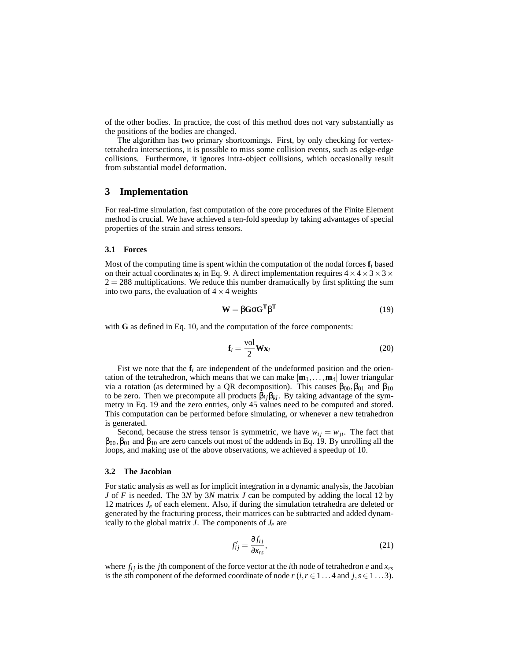of the other bodies. In practice, the cost of this method does not vary substantially as the positions of the bodies are changed.

The algorithm has two primary shortcomings. First, by only checking for vertextetrahedra intersections, it is possible to miss some collision events, such as edge-edge collisions. Furthermore, it ignores intra-object collisions, which occasionally result from substantial model deformation.

## **3 Implementation**

For real-time simulation, fast computation of the core procedures of the Finite Element method is crucial. We have achieved a ten-fold speedup by taking advantages of special properties of the strain and stress tensors.

#### **3.1 Forces**

Most of the computing time is spent within the computation of the nodal forces  $\mathbf{f}_i$  based on their actual coordinates  $\mathbf{x}_i$  in Eq. 9. A direct implementation requires  $4 \times 4 \times 3 \times 3 \times 3$  $2 = 288$  multiplications. We reduce this number dramatically by first splitting the sum into two parts, the evaluation of  $4 \times 4$  weights

$$
\mathbf{W} = \beta \mathbf{G} \sigma \mathbf{G}^{\mathrm{T}} \beta^{\mathrm{T}} \tag{19}
$$

with **G** as defined in Eq. 10, and the computation of the force components:

$$
\mathbf{f}_i = \frac{\text{vol}}{2} \mathbf{W} \mathbf{x}_i \tag{20}
$$

Fist we note that the  $f_i$  are independent of the undeformed position and the orientation of the tetrahedron, which means that we can make  $[\mathbf{m}_1, \dots, \mathbf{m}_4]$  lower triangular via a rotation (as determined by a QR decomposition). This causes  $\beta_{00}$ ,  $\beta_{01}$  and  $\beta_{10}$ to be zero. Then we precompute all products  $\beta_{i,j}\beta_{k,l}$ . By taking advantage of the symmetry in Eq. 19 and the zero entries, only 45 values need to be computed and stored. This computation can be performed before simulating, or whenever a new tetrahedron is generated.

Second, because the stress tensor is symmetric, we have  $w_{ij} = w_{ji}$ . The fact that  $β_{00}$ ,  $β_{01}$  and  $β_{10}$  are zero cancels out most of the addends in Eq. 19. By unrolling all the loops, and making use of the above observations, we achieved a speedup of 10.

#### **3.2 The Jacobian**

For static analysis as well as for implicit integration in a dynamic analysis, the Jacobian *J* of *F* is needed. The 3*N* by 3*N* matrix *J* can be computed by adding the local 12 by 12 matrices  $J_e$  of each element. Also, if during the simulation tetrahedra are deleted or generated by the fracturing process, their matrices can be subtracted and added dynamically to the global matrix *J*. The components of *J<sup>e</sup>* are

$$
f'_{ij} = \frac{\partial f_{ij}}{\partial x_{rs}},\tag{21}
$$

where  $f_{ij}$  is the *j*th component of the force vector at the *i*th node of tetrahedron *e* and  $x_{rs}$ is the *s*th component of the deformed coordinate of node  $r$  ( $i, r \in 1...4$  and  $j, s \in 1...3$ ).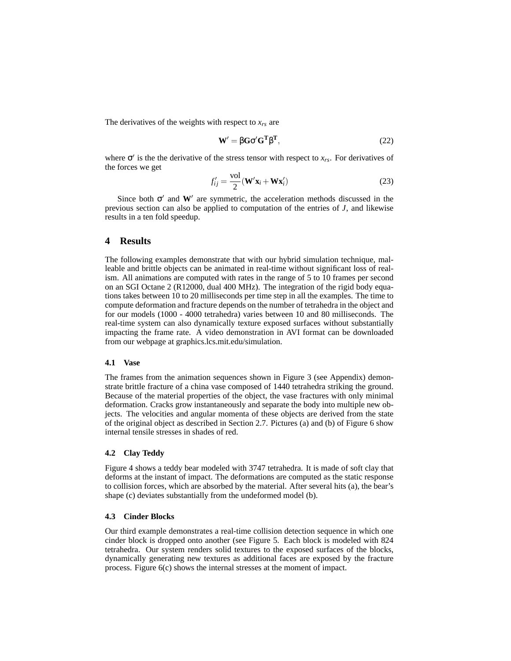The derivatives of the weights with respect to  $x_{rs}$  are

$$
\mathbf{W}' = \beta \mathbf{G} \sigma' \mathbf{G}^{\mathrm{T}} \beta^{\mathrm{T}},\tag{22}
$$

where  $\sigma'$  is the the derivative of the stress tensor with respect to  $x_{rs}$ . For derivatives of the forces we get

$$
f'_{ij} = \frac{\text{vol}}{2} (\mathbf{W}' \mathbf{x}_i + \mathbf{W} \mathbf{x}'_i)
$$
 (23)

Since both  $\sigma'$  and  $W'$  are symmetric, the acceleration methods discussed in the previous section can also be applied to computation of the entries of *J*, and likewise results in a ten fold speedup.

## **4 Results**

The following examples demonstrate that with our hybrid simulation technique, malleable and brittle objects can be animated in real-time without significant loss of realism. All animations are computed with rates in the range of 5 to 10 frames per second on an SGI Octane 2 (R12000, dual 400 MHz). The integration of the rigid body equations takes between 10 to 20 milliseconds per time step in all the examples. The time to compute deformation and fracture depends on the number of tetrahedra in the object and for our models (1000 - 4000 tetrahedra) varies between 10 and 80 milliseconds. The real-time system can also dynamically texture exposed surfaces without substantially impacting the frame rate. A video demonstration in AVI format can be downloaded from our webpage at graphics.lcs.mit.edu/simulation.

## **4.1 Vase**

The frames from the animation sequences shown in Figure 3 (see Appendix) demonstrate brittle fracture of a china vase composed of 1440 tetrahedra striking the ground. Because of the material properties of the object, the vase fractures with only minimal deformation. Cracks grow instantaneously and separate the body into multiple new objects. The velocities and angular momenta of these objects are derived from the state of the original object as described in Section 2.7. Pictures (a) and (b) of Figure 6 show internal tensile stresses in shades of red.

## **4.2 Clay Teddy**

Figure 4 shows a teddy bear modeled with 3747 tetrahedra. It is made of soft clay that deforms at the instant of impact. The deformations are computed as the static response to collision forces, which are absorbed by the material. After several hits (a), the bear's shape (c) deviates substantially from the undeformed model (b).

### **4.3 Cinder Blocks**

Our third example demonstrates a real-time collision detection sequence in which one cinder block is dropped onto another (see Figure 5. Each block is modeled with 824 tetrahedra. Our system renders solid textures to the exposed surfaces of the blocks, dynamically generating new textures as additional faces are exposed by the fracture process. Figure 6(c) shows the internal stresses at the moment of impact.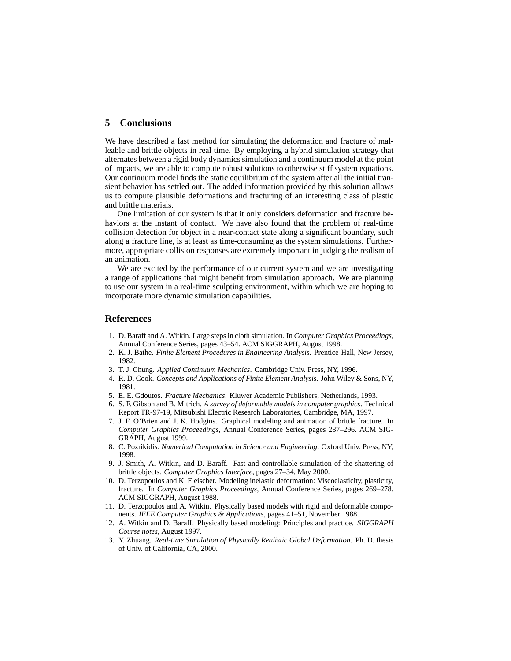## **5 Conclusions**

We have described a fast method for simulating the deformation and fracture of malleable and brittle objects in real time. By employing a hybrid simulation strategy that alternates between a rigid body dynamics simulation and a continuum model at the point of impacts, we are able to compute robust solutions to otherwise stiff system equations. Our continuum model finds the static equilibrium of the system after all the initial transient behavior has settled out. The added information provided by this solution allows us to compute plausible deformations and fracturing of an interesting class of plastic and brittle materials.

One limitation of our system is that it only considers deformation and fracture behaviors at the instant of contact. We have also found that the problem of real-time collision detection for object in a near-contact state along a significant boundary, such along a fracture line, is at least as time-consuming as the system simulations. Furthermore, appropriate collision responses are extremely important in judging the realism of an animation.

We are excited by the performance of our current system and we are investigating a range of applications that might benefit from simulation approach. We are planning to use our system in a real-time sculpting environment, within which we are hoping to incorporate more dynamic simulation capabilities.

#### **References**

- 1. D. Baraff and A. Witkin. Large steps in cloth simulation. In *Computer Graphics Proceedings*, Annual Conference Series, pages 43–54. ACM SIGGRAPH, August 1998.
- 2. K. J. Bathe. *Finite Element Procedures in Engineering Analysis*. Prentice-Hall, New Jersey, 1982.
- 3. T. J. Chung. *Applied Continuum Mechanics*. Cambridge Univ. Press, NY, 1996.
- 4. R. D. Cook. *Concepts and Applications of Finite Element Analysis*. John Wiley & Sons, NY, 1981.
- 5. E. E. Gdoutos. *Fracture Mechanics*. Kluwer Academic Publishers, Netherlands, 1993.
- 6. S. F. Gibson and B. Mitrich. *A survey of deformable models in computer graphics*. Technical Report TR-97-19, Mitsubishi Electric Research Laboratories, Cambridge, MA, 1997.
- 7. J. F. O'Brien and J. K. Hodgins. Graphical modeling and animation of brittle fracture. In *Computer Graphics Proceedings*, Annual Conference Series, pages 287–296. ACM SIG-GRAPH, August 1999.
- 8. C. Pozrikidis. *Numerical Computation in Science and Engineering*. Oxford Univ. Press, NY, 1998.
- 9. J. Smith, A. Witkin, and D. Baraff. Fast and controllable simulation of the shattering of brittle objects. *Computer Graphics Interface*, pages 27–34, May 2000.
- 10. D. Terzopoulos and K. Fleischer. Modeling inelastic deformation: Viscoelasticity, plasticity, fracture. In *Computer Graphics Proceedings*, Annual Conference Series, pages 269–278. ACM SIGGRAPH, August 1988.
- 11. D. Terzopoulos and A. Witkin. Physically based models with rigid and deformable components. *IEEE Computer Graphics & Applications*, pages 41–51, November 1988.
- 12. A. Witkin and D. Baraff. Physically based modeling: Principles and practice. *SIGGRAPH Course notes*, August 1997.
- 13. Y. Zhuang. *Real-time Simulation of Physically Realistic Global Deformation*. Ph. D. thesis of Univ. of California, CA, 2000.